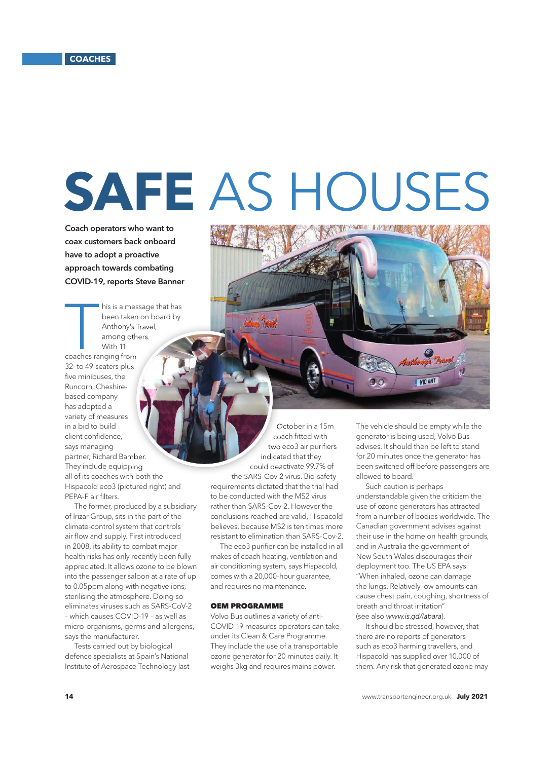## **SAFE** AS HOUSES

Total

Coach operators who want to coax customers back onboard have to adopt a proactive approach towards combating COVID-19, reports Steve Banner

his is a mes<br>been taken<br>Anthony's 1<br>among oth<br>With 11<br>coaches ranging from his is a message that has been taken on board by Anthony's Travel, among others. With 11 32- to 49-seaters plus five minibuses, the Runcorn, Cheshirebased company has adopted a variety of measures in a bid to build client confidence. says managing

partner, Richard Bamber. They include equipping all of its coaches with both the Hispacold eco3 (pictured right) and PEPA-F air filters.

The former, produced by a subsidiary of Irizar Group, sits in the part of the climate-control system that controls air flow and supply. First introduced in 2008, its ability to combat major health risks has only recently been fully appreciated. It allows ozone to be blown into the passenger saloon at a rate of up to 0.05ppm along with negative ions, sterilising the atmosphere. Doing so eliminates viruses such as SARS-CoV-2 – which causes COVID-19 – as well as micro-organisms, germs and allergens, says the manufacturer.

Tests carried out by biological defence specialists at Spain's National Institute of Aerospace Technology last

October in a 15m coach fitted with two eco3 air purifiers indicated that they could deactivate 99.7% of the SARS-Cov-2 virus. Bio-safety requirements dictated that the trial had to be conducted with the MS2 virus rather than SARS-Cov-2. However the conclusions reached are valid, Hispacold believes, because MS2 is ten times more resistant to elimination than SARS-Cov-2.

The eco3 purifier can be installed in all makes of coach heating, ventilation and air conditioning system, says Hispacold, comes with a 20,000-hour guarantee, and requires no maintenance.

## OEM PROGRAMME

Volvo Bus outlines a variety of anti-COVID-19 measures operators can take under its Clean & Care Programme. They include the use of a transportable ozone generator for 20 minutes daily. It weighs 3kg and requires mains power.

The vehicle should be empty while the generator is being used, Volvo Bus advises. It should then be left to stand for 20 minutes once the generator has been switched off before passengers are allowed to board.

I WID ANT

Such caution is perhaps understandable given the criticism the use of ozone generators has attracted from a number of bodies worldwide. The Canadian government advises against their use in the home on health grounds, and in Australia the government of New South Wales discourages their deployment too. The US EPA says: "When inhaled, ozone can damage the lungs. Relatively low amounts can cause chest pain, coughing, shortness of breath and throat irritation" (see also *www.is.gd/labara*).

It should be stressed, however, that there are no reports of generators such as eco3 harming travellers, and Hispacold has supplied over 10,000 of them. Any risk that generated ozone may